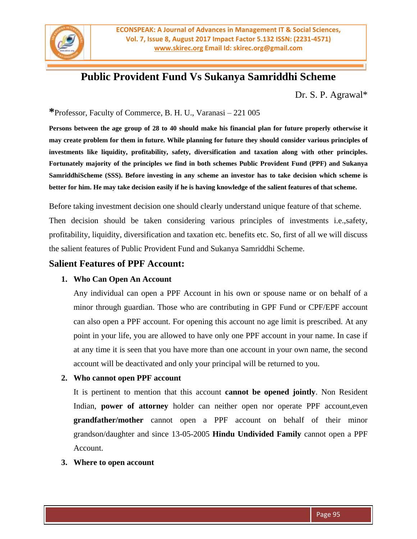

# **Public Provident Fund Vs Sukanya Samriddhi Scheme**

Dr. S. P. Agrawal\*

**\***Professor, Faculty of Commerce, B. H. U., Varanasi – 221 005

**Persons between the age group of 28 to 40 should make his financial plan for future properly otherwise it may create problem for them in future. While planning for future they should consider various principles of investments like liquidity, profitability, safety, diversification and taxation along with other principles. Fortunately majority of the principles we find in both schemes Public Provident Fund (PPF) and Sukanya SamriddhiScheme (SSS). Before investing in any scheme an investor has to take decision which scheme is better for him. He may take decision easily if he is having knowledge of the salient features of that scheme.**

Before taking investment decision one should clearly understand unique feature of that scheme.

Then decision should be taken considering various principles of investments i.e.,safety, profitability, liquidity, diversification and taxation etc. benefits etc. So, first of all we will discuss the salient features of Public Provident Fund and Sukanya Samriddhi Scheme.

### **Salient Features of PPF Account:**

#### **1. Who Can Open An Account**

Any individual can open a PPF Account in his own or spouse name or on behalf of a minor through guardian. Those who are contributing in GPF Fund or CPF/EPF account can also open a PPF account. For opening this account no age limit is prescribed. At any point in your life, you are allowed to have only one PPF account in your name. In case if at any time it is seen that you have more than one account in your own name, the second account will be deactivated and only your principal will be returned to you.

#### **2. Who cannot open PPF account**

It is pertinent to mention that this account **cannot be opened jointly**. Non Resident Indian, **power of attorney** holder can neither open nor operate PPF account,even **grandfather/mother** cannot open a [PPF](http://www.ppfaccount.in/what-is-a-ppf-account.html) account on behalf of their minor grandson/daughter and since 13-05-2005 **Hindu Undivided Family** cannot open a PPF Account.

#### **3. Where to open account**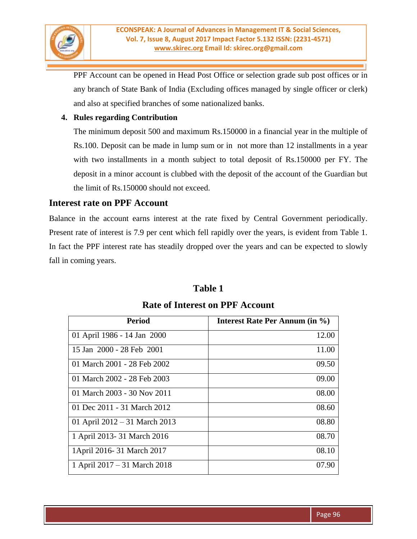

PPF Account can be opened in Head Post Office or selection grade sub post offices or in any branch of State Bank of India (Excluding offices managed by single officer or clerk) and also at specified branches of some nationalized banks.

#### **4. Rules regarding Contribution**

The minimum deposit 500 and maximum Rs.150000 in a financial year in the multiple of Rs.100. Deposit can be made in lump sum or in not more than 12 installments in a year with two installments in a month subject to total deposit of Rs.150000 per FY. The deposit in a minor account is clubbed with the deposit of the account of the Guardian but the limit of Rs.150000 should not exceed.

### **Interest rate on PPF Account**

Balance in the account earns interest at the rate fixed by Central Government periodically. Present rate of interest is 7.9 per cent which fell rapidly over the years, is evident from Table 1. In fact the PPF interest rate has steadily dropped over the years and can be expected to slowly fall in coming years.

### **Table 1**

# **Rate of Interest on PPF Account**

| <b>Period</b>                   | <b>Interest Rate Per Annum (in %)</b> |
|---------------------------------|---------------------------------------|
| 01 April 1986 - 14 Jan 2000     | 12.00                                 |
| 15 Jan 2000 - 28 Feb 2001       | 11.00                                 |
| 01 March 2001 - 28 Feb 2002     | 09.50                                 |
| 01 March 2002 - 28 Feb 2003     | 09.00                                 |
| 01 March 2003 - 30 Nov 2011     | 08.00                                 |
| 01 Dec 2011 - 31 March 2012     | 08.60                                 |
| 01 April $2012 - 31$ March 2013 | 08.80                                 |
| 1 April 2013- 31 March 2016     | 08.70                                 |
| 1April 2016-31 March 2017       | 08.10                                 |
| 1 April 2017 – 31 March 2018    | 07.90                                 |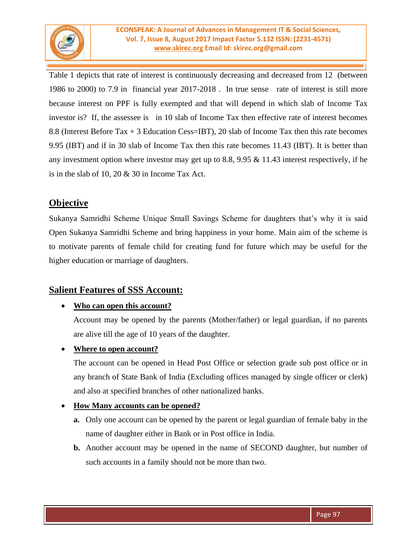

Table 1 depicts that rate of interest is continuously decreasing and decreased from 12 (between 1986 to 2000) to 7.9 in financial year 2017-2018 . In true sense rate of interest is still more because interest on PPF is fully exempted and that will depend in which slab of Income Tax investor is? If, the assessee is in 10 slab of Income Tax then effective rate of interest becomes 8.8 (Interest Before Tax + 3 Education Cess=IBT), 20 slab of Income Tax then this rate becomes 9.95 (IBT) and if in 30 slab of Income Tax then this rate becomes 11.43 (IBT). It is better than any investment option where investor may get up to 8.8, 9.95 & 11.43 interest respectively, if he is in the slab of 10, 20 & 30 in Income Tax Act.

# **Objective**

Sukanya Samridhi Scheme Unique Small Savings Scheme for daughters that's why it is said Open Sukanya Samridhi Scheme and bring happiness in your home. Main aim of the scheme is to motivate parents of female child for creating fund for future which may be useful for the higher education or marriage of daughters.

# **Salient Features of SSS Account:**

### **Who can open this account?**

Account may be opened by the parents (Mother/father) or legal guardian, if no parents are alive till the age of 10 years of the daughter.

#### **Where to open account?**

The account can be opened in Head Post Office or selection grade sub post office or in any branch of State Bank of India (Excluding offices managed by single officer or clerk) and also at specified branches of other nationalized banks.

#### **How Many accounts can be opened?**

- **a.** Only one account can be opened by the parent or legal guardian of female baby in the name of daughter either in Bank or in Post office in India.
- **b.** Another account may be opened in the name of SECOND daughter, but number of such accounts in a family should not be more than two.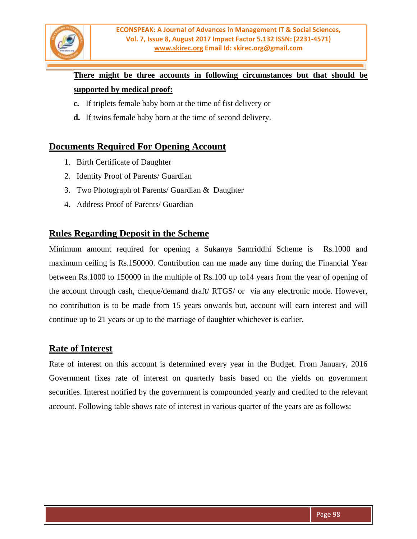

# **There might be three accounts in following circumstances but that should be supported by medical proof:**

- **c.** If triplets female baby born at the time of fist delivery or
- **d.** If twins female baby born at the time of second delivery.

### **Documents Required For Opening Account**

- 1. Birth Certificate of Daughter
- 2. Identity Proof of Parents/ Guardian
- 3. Two Photograph of Parents/ Guardian & Daughter
- 4. Address Proof of Parents/ Guardian

## **Rules Regarding Deposit in the Scheme**

Minimum amount required for opening a Sukanya Samriddhi Scheme is Rs.1000 and maximum ceiling is Rs.150000. Contribution can me made any time during the Financial Year between Rs.1000 to 150000 in the multiple of Rs.100 up to14 years from the year of opening of the account through cash, cheque/demand draft/ RTGS/ or via any electronic mode. However, no contribution is to be made from 15 years onwards but, account will earn interest and will continue up to 21 years or up to the marriage of daughter whichever is earlier.

#### **Rate of Interest**

Rate of interest on this account is determined every year in the Budget. From January, 2016 Government fixes rate of interest on quarterly basis based on the yields on government securities. Interest notified by the government is compounded yearly and credited to the relevant account. Following table shows rate of interest in various quarter of the years are as follows: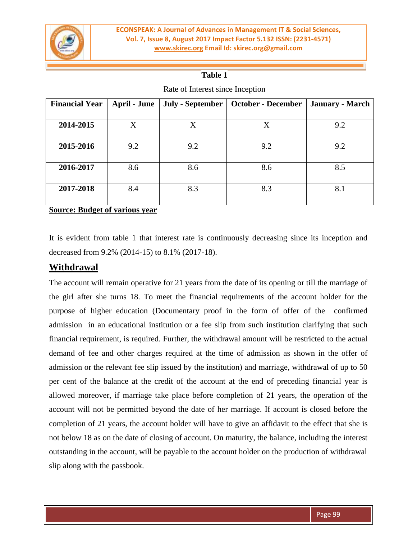

### **Table 1**

| <b>Financial Year</b>                 | <b>April - June</b> | <b>July - September</b> | <b>October - December</b> | <b>January - March</b> |  |  |  |
|---------------------------------------|---------------------|-------------------------|---------------------------|------------------------|--|--|--|
|                                       |                     |                         |                           |                        |  |  |  |
| 2014-2015                             | X                   | $\rm X$                 | Χ                         | 9.2                    |  |  |  |
| 9.2<br>2015-2016                      |                     | 9.2                     | 9.2                       | 9.2                    |  |  |  |
| 8.6<br>2016-2017                      |                     | 8.6                     | 8.6                       | 8.5                    |  |  |  |
| 2017-2018                             | 8.4                 | 8.3                     | 8.3                       | 8.1                    |  |  |  |
| <b>Source: Budget of various year</b> |                     |                         |                           |                        |  |  |  |

Rate of Interest since Inception

It is evident from table 1 that interest rate is continuously decreasing since its inception and decreased from 9.2% (2014-15) to 8.1% (2017-18).

### **Withdrawal**

The account will remain operative for 21 years from the date of its opening or till the marriage of the girl after she turns 18. To meet the financial requirements of the account holder for the purpose of higher education (Documentary proof in the form of offer of the confirmed admission in an educational institution or a fee slip from such institution clarifying that such financial requirement, is required. Further, the withdrawal amount will be restricted to the actual demand of fee and other charges required at the time of admission as shown in the offer of admission or the relevant fee slip issued by the institution) and marriage, withdrawal of up to 50 per cent of the balance at the credit of the account at the end of preceding financial year is allowed moreover, if marriage take place before completion of 21 years, the operation of the account will not be permitted beyond the date of her marriage. If account is closed before the completion of 21 years, the account holder will have to give an affidavit to the effect that she is not below 18 as on the date of closing of account. On maturity, the balance, including the interest outstanding in the account, will be payable to the account holder on the production of withdrawal slip along with the passbook.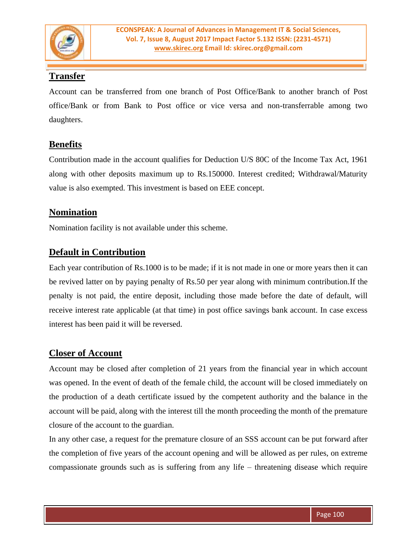

# **Transfer**

Account can be transferred from one branch of Post Office/Bank to another branch of Post office/Bank or from Bank to Post office or vice versa and non-transferrable among two daughters.

## **Benefits**

Contribution made in the account qualifies for Deduction U/S 80C of the Income Tax Act, 1961 along with other deposits maximum up to Rs.150000. Interest credited; Withdrawal/Maturity value is also exempted. This investment is based on EEE concept.

# **Nomination**

Nomination facility is not available under this scheme.

# **Default in Contribution**

Each year contribution of Rs.1000 is to be made; if it is not made in one or more years then it can be revived latter on by paying penalty of Rs.50 per year along with minimum contribution.If the penalty is not paid, the entire deposit, including those made before the date of default, will receive interest rate applicable (at that time) in post office savings bank account. In case excess interest has been paid it will be reversed.

### **Closer of Account**

Account may be closed after completion of 21 years from the financial year in which account was opened. In the event of death of the female child, the account will be closed immediately on the production of a death certificate issued by the competent authority and the balance in the account will be paid, along with the interest till the month proceeding the month of the premature closure of the account to the guardian.

In any other case, a request for the premature closure of an SSS account can be put forward after the completion of five years of the account opening and will be allowed as per rules, on extreme compassionate grounds such as is suffering from any life – threatening disease which require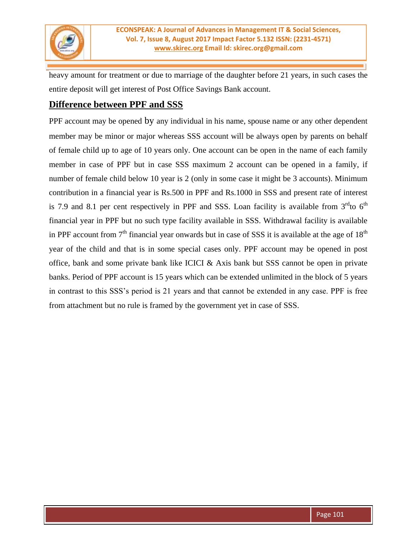

heavy amount for treatment or due to marriage of the daughter before 21 years, in such cases the entire deposit will get interest of Post Office Savings Bank account.

### **Difference between PPF and SSS**

PPF account may be opened by any individual in his name, spouse name or any other dependent member may be minor or major whereas SSS account will be always open by parents on behalf of female child up to age of 10 years only. One account can be open in the name of each family member in case of PPF but in case SSS maximum 2 account can be opened in a family, if number of female child below 10 year is 2 (only in some case it might be 3 accounts). Minimum contribution in a financial year is Rs.500 in PPF and Rs.1000 in SSS and present rate of interest is 7.9 and 8.1 per cent respectively in PPF and SSS. Loan facility is available from  $3<sup>rd</sup>$ to  $6<sup>th</sup>$ financial year in PPF but no such type facility available in SSS. Withdrawal facility is available in PPF account from  $7<sup>th</sup>$  financial year onwards but in case of SSS it is available at the age of  $18<sup>th</sup>$ year of the child and that is in some special cases only. PPF account may be opened in post office, bank and some private bank like ICICI & Axis bank but SSS cannot be open in private banks. Period of PPF account is 15 years which can be extended unlimited in the block of 5 years in contrast to this SSS's period is 21 years and that cannot be extended in any case. PPF is free from attachment but no rule is framed by the government yet in case of SSS.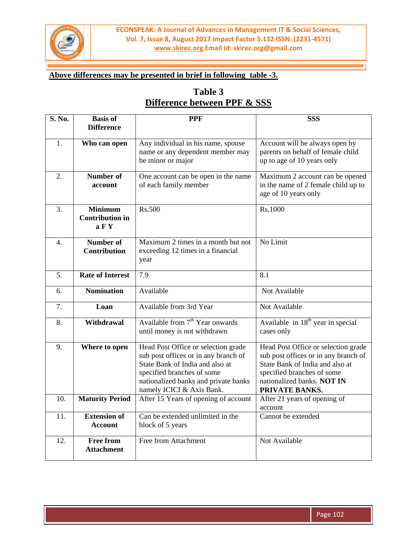

### **Above differences may be presented in brief in following table -3.**

# **Table 3 Difference between PPF & SSS**

| <b>S. No.</b>    | <b>Basis of</b>                          | PPF                                                                     | <b>SSS</b>                                               |
|------------------|------------------------------------------|-------------------------------------------------------------------------|----------------------------------------------------------|
|                  | <b>Difference</b>                        |                                                                         |                                                          |
| 1.               | Who can open                             | Any individual in his name, spouse                                      | Account will be always open by                           |
|                  |                                          | name or any dependent member may                                        | parents on behalf of female child                        |
|                  |                                          | be minor or major                                                       | up to age of 10 years only                               |
| 2.               | Number of                                | One account can be open in the name                                     | Maximum 2 account can be opened                          |
|                  | account                                  | of each family member                                                   | in the name of 2 female child up to                      |
|                  |                                          |                                                                         | age of 10 years only                                     |
|                  |                                          |                                                                         |                                                          |
| 3.               | <b>Minimum</b><br><b>Contribution in</b> | Rs.500                                                                  | Rs.1000                                                  |
|                  | a F Y                                    |                                                                         |                                                          |
|                  |                                          |                                                                         |                                                          |
| $\overline{4}$ . | <b>Number of</b><br><b>Contribution</b>  | Maximum 2 times in a month but not<br>exceeding 12 times in a financial | No Limit                                                 |
|                  |                                          | year                                                                    |                                                          |
|                  |                                          |                                                                         |                                                          |
| 5.               | <b>Rate of Interest</b>                  | 7.9                                                                     | 8.1                                                      |
| 6.               | <b>Nomination</b>                        | Available                                                               | Not Available                                            |
| 7.               | Loan                                     | Available from 3rd Year                                                 | Not Available                                            |
| 8.               | Withdrawal                               | Available from 7 <sup>th</sup> Year onwards                             | Available in 18 <sup>th</sup> year in special            |
|                  |                                          | until money is not withdrawn                                            | cases only                                               |
| 9.               | Where to open                            | Head Post Office or selection grade                                     | Head Post Office or selection grade                      |
|                  |                                          | sub post offices or in any branch of                                    | sub post offices or in any branch of                     |
|                  |                                          | State Bank of India and also at                                         | State Bank of India and also at                          |
|                  |                                          | specified branches of some                                              | specified branches of some<br>nationalized banks. NOT IN |
|                  |                                          | nationalized banks and private banks<br>namely ICICI & Axis Bank.       | PRIVATE BANKS.                                           |
| 10.              | <b>Maturity Period</b>                   | After 15 Years of opening of account                                    | After 21 years of opening of                             |
|                  |                                          |                                                                         | account                                                  |
| 11.              | <b>Extension of</b>                      | Can be extended unlimited in the                                        | Cannot be extended                                       |
|                  | <b>Account</b>                           | block of 5 years                                                        |                                                          |
| 12.              | <b>Free from</b>                         | Free from Attachment                                                    | Not Available                                            |
|                  | <b>Attachment</b>                        |                                                                         |                                                          |
|                  |                                          |                                                                         |                                                          |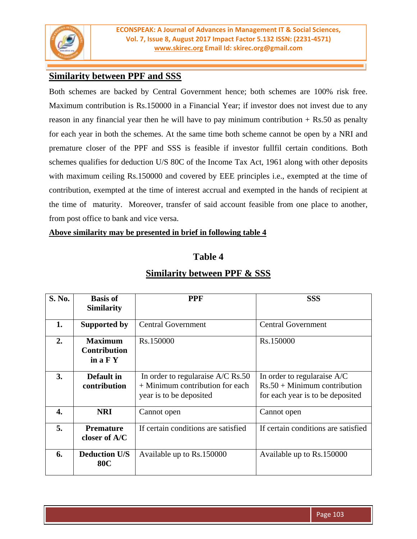

# **Similarity between PPF and SSS**

Both schemes are backed by Central Government hence; both schemes are 100% risk free. Maximum contribution is Rs.150000 in a Financial Year; if investor does not invest due to any reason in any financial year then he will have to pay minimum contribution  $+$  Rs.50 as penalty for each year in both the schemes. At the same time both scheme cannot be open by a NRI and premature closer of the PPF and SSS is feasible if investor fullfil certain conditions. Both schemes qualifies for deduction U/S 80C of the Income Tax Act, 1961 along with other deposits with maximum ceiling Rs.150000 and covered by EEE principles i.e., exempted at the time of contribution, exempted at the time of interest accrual and exempted in the hands of recipient at the time of maturity. Moreover, transfer of said account feasible from one place to another, from post office to bank and vice versa.

#### **Above similarity may be presented in brief in following table 4**

#### **Table 4**

| S. No. | <b>Basis of</b><br><b>Similarity</b>                | <b>PPF</b>                                                                                        | <b>SSS</b>                                                                                        |  |
|--------|-----------------------------------------------------|---------------------------------------------------------------------------------------------------|---------------------------------------------------------------------------------------------------|--|
| 1.     | Supported by                                        | <b>Central Government</b>                                                                         | <b>Central Government</b>                                                                         |  |
| 2.     | <b>Maximum</b><br><b>Contribution</b><br>in $a F Y$ | Rs.150000                                                                                         | Rs.150000                                                                                         |  |
| 3.     | Default in<br>contribution                          | In order to regularaise A/C Rs.50<br>$+$ Minimum contribution for each<br>year is to be deposited | In order to regularaise A/C<br>$Rs.50 + Minimum$ contribution<br>for each year is to be deposited |  |
| 4.     | <b>NRI</b>                                          | Cannot open                                                                                       | Cannot open                                                                                       |  |
| 5.     | <b>Premature</b><br>closer of A/C                   | If certain conditions are satisfied                                                               | If certain conditions are satisfied                                                               |  |
| 6.     | <b>Deduction U/S</b><br><b>80C</b>                  | Available up to Rs.150000                                                                         | Available up to Rs.150000                                                                         |  |

# **Similarity between PPF & SSS**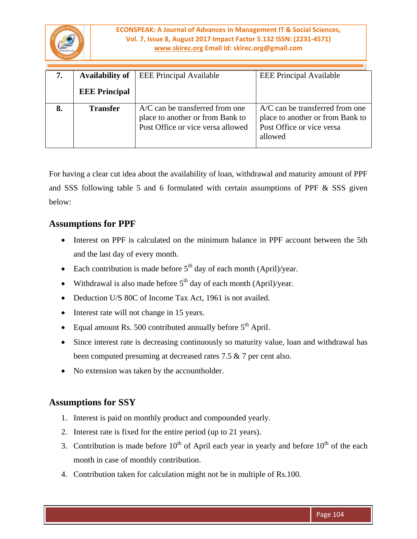

#### **ECONSPEAK: A Journal of Advances in Management IT & Social Sciences, Vol. 7, Issue 8, August 2017 Impact Factor 5.132 ISSN: (2231-4571) [www.skirec.org](http://www.skirec.org/) Email Id: skirec.org@gmail.com**

| 7. | <b>Availability of</b> | <b>EEE Principal Available</b>                                                                             | <b>EEE Principal Available</b>                                                                                |
|----|------------------------|------------------------------------------------------------------------------------------------------------|---------------------------------------------------------------------------------------------------------------|
|    | <b>EEE Principal</b>   |                                                                                                            |                                                                                                               |
| 8. | <b>Transfer</b>        | $A/C$ can be transferred from one<br>place to another or from Bank to<br>Post Office or vice versa allowed | $A/C$ can be transferred from one<br>place to another or from Bank to<br>Post Office or vice versa<br>allowed |

For having a clear cut idea about the availability of loan, withdrawal and maturity amount of PPF and SSS following table 5 and 6 formulated with certain assumptions of PPF & SSS given below:

# **Assumptions for PPF**

- Interest on PPF is calculated on the minimum balance in PPF account between the 5th and the last day of every month.
- Each contribution is made before  $5<sup>th</sup>$  day of each month (April)/year.
- Withdrawal is also made before  $5<sup>th</sup>$  day of each month (April)/year.
- Deduction U/S 80C of Income Tax Act, 1961 is not availed.
- Interest rate will not change in 15 years.
- Equal amount Rs. 500 contributed annually before  $5<sup>th</sup>$  April.
- Since interest rate is decreasing continuously so maturity value, loan and withdrawal has been computed presuming at decreased rates 7.5 & 7 per cent also.
- No extension was taken by the accountholder.

### **Assumptions for SSY**

- 1. Interest is paid on monthly product and compounded yearly.
- 2. Interest rate is fixed for the entire period (up to 21 years).
- 3. Contribution is made before  $10^{th}$  of April each year in yearly and before  $10^{th}$  of the each month in case of monthly contribution.
- 4. Contribution taken for calculation might not be in multiple of Rs.100.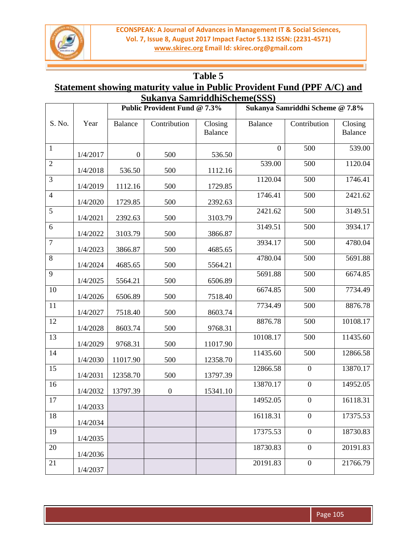

## **Table 5**

# **Statement showing maturity value in Public Provident Fund (PPF A/C) and Sukanya SamriddhiScheme(SSS)**

|                  |          | <b>Public Provident Fund @ 7.3%</b> |                  |                           |                | Sukanya Samriddhi Scheme @ 7.8% |                           |
|------------------|----------|-------------------------------------|------------------|---------------------------|----------------|---------------------------------|---------------------------|
| S. No.           | Year     | <b>Balance</b>                      | Contribution     | Closing<br><b>Balance</b> | <b>Balance</b> | Contribution                    | Closing<br><b>Balance</b> |
| $\mathbf{1}$     | 1/4/2017 | $\boldsymbol{0}$                    | 500              | 536.50                    | $\overline{0}$ | 500                             | 539.00                    |
| $\sqrt{2}$       | 1/4/2018 | 536.50                              | 500              | 1112.16                   | 539.00         | 500                             | 1120.04                   |
| 3                | 1/4/2019 | 1112.16                             | 500              | 1729.85                   | 1120.04        | 500                             | 1746.41                   |
| $\overline{4}$   | 1/4/2020 | 1729.85                             | 500              | 2392.63                   | 1746.41        | 500                             | 2421.62                   |
| 5                | 1/4/2021 | 2392.63                             | 500              | 3103.79                   | 2421.62        | 500                             | 3149.51                   |
| 6                | 1/4/2022 | 3103.79                             | 500              | 3866.87                   | 3149.51        | 500                             | 3934.17                   |
| $\boldsymbol{7}$ | 1/4/2023 | 3866.87                             | 500              | 4685.65                   | 3934.17        | 500                             | 4780.04                   |
| 8                | 1/4/2024 | 4685.65                             | 500              | 5564.21                   | 4780.04        | 500                             | 5691.88                   |
| 9                | 1/4/2025 | 5564.21                             | 500              | 6506.89                   | 5691.88        | 500                             | 6674.85                   |
| 10               | 1/4/2026 | 6506.89                             | 500              | 7518.40                   | 6674.85        | 500                             | 7734.49                   |
| 11               | 1/4/2027 | 7518.40                             | 500              | 8603.74                   | 7734.49        | 500                             | 8876.78                   |
| 12               | 1/4/2028 | 8603.74                             | 500              | 9768.31                   | 8876.78        | 500                             | 10108.17                  |
| 13               | 1/4/2029 | 9768.31                             | 500              | 11017.90                  | 10108.17       | 500                             | 11435.60                  |
| 14               | 1/4/2030 | 11017.90                            | 500              | 12358.70                  | 11435.60       | 500                             | 12866.58                  |
| 15               | 1/4/2031 | 12358.70                            | 500              | 13797.39                  | 12866.58       | $\boldsymbol{0}$                | 13870.17                  |
| 16               | 1/4/2032 | 13797.39                            | $\boldsymbol{0}$ | 15341.10                  | 13870.17       | $\boldsymbol{0}$                | 14952.05                  |
| 17               | 1/4/2033 |                                     |                  |                           | 14952.05       | $\boldsymbol{0}$                | 16118.31                  |
| 18               | 1/4/2034 |                                     |                  |                           | 16118.31       | $\mathbf{0}$                    | 17375.53                  |
| 19               | 1/4/2035 |                                     |                  |                           | 17375.53       | $\boldsymbol{0}$                | 18730.83                  |
| 20               | 1/4/2036 |                                     |                  |                           | 18730.83       | $\boldsymbol{0}$                | 20191.83                  |
| 21               | 1/4/2037 |                                     |                  |                           | 20191.83       | $\boldsymbol{0}$                | 21766.79                  |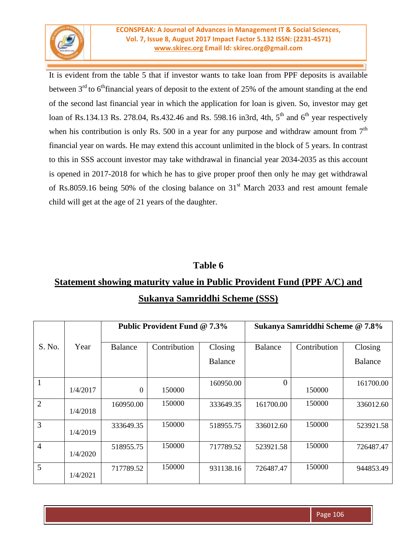

It is evident from the table 5 that if investor wants to take loan from PPF deposits is available between  $3<sup>rd</sup>$  to 6<sup>th</sup>financial years of deposit to the extent of 25% of the amount standing at the end of the second last financial year in which the application for loan is given. So, investor may get loan of Rs.134.13 Rs. 278.04, Rs.432.46 and Rs. 598.16 in3rd, 4th,  $5<sup>th</sup>$  and  $6<sup>th</sup>$  year respectively when his contribution is only Rs. 500 in a year for any purpose and withdraw amount from  $7<sup>th</sup>$ financial year on wards. He may extend this account unlimited in the block of 5 years. In contrast to this in SSS account investor may take withdrawal in financial year 2034-2035 as this account is opened in 2017-2018 for which he has to give proper proof then only he may get withdrawal of Rs.8059.16 being 50% of the closing balance on  $31<sup>st</sup>$  March 2033 and rest amount female child will get at the age of 21 years of the daughter.

# **Table 6**

# **Statement showing maturity value in Public Provident Fund (PPF A/C) and Sukanya Samriddhi Scheme (SSS)**

|                |          | Public Provident Fund @ 7.3% |              |           | Sukanya Samriddhi Scheme @ 7.8% |              |           |
|----------------|----------|------------------------------|--------------|-----------|---------------------------------|--------------|-----------|
| S. No.         | Year     | <b>Balance</b>               | Contribution | Closing   | Balance                         | Contribution | Closing   |
|                |          |                              |              | Balance   |                                 |              | Balance   |
| 1              | 1/4/2017 | $\overline{0}$               | 150000       | 160950.00 | $\Omega$                        | 150000       | 161700.00 |
| $\overline{2}$ | 1/4/2018 | 160950.00                    | 150000       | 333649.35 | 161700.00                       | 150000       | 336012.60 |
| 3              | 1/4/2019 | 333649.35                    | 150000       | 518955.75 | 336012.60                       | 150000       | 523921.58 |
| $\overline{4}$ | 1/4/2020 | 518955.75                    | 150000       | 717789.52 | 523921.58                       | 150000       | 726487.47 |
| 5              | 1/4/2021 | 717789.52                    | 150000       | 931138.16 | 726487.47                       | 150000       | 944853.49 |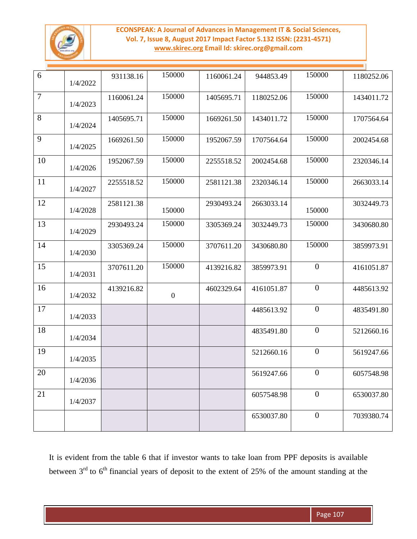#### **ECONSPEAK: A Journal of Advances in Management IT & Social Sciences, Vol. 7, Issue 8, August 2017 Impact Factor 5.132 ISSN: (2231-4571) [www.skirec.org](http://www.skirec.org/) Email Id: skirec.org@gmail.com**



| 6      | 1/4/2022 | 931138.16  | 150000           | 1160061.24 | 944853.49  | 150000           | 1180252.06 |
|--------|----------|------------|------------------|------------|------------|------------------|------------|
| $\tau$ | 1/4/2023 | 1160061.24 | 150000           | 1405695.71 | 1180252.06 | 150000           | 1434011.72 |
| 8      | 1/4/2024 | 1405695.71 | 150000           | 1669261.50 | 1434011.72 | 150000           | 1707564.64 |
| 9      | 1/4/2025 | 1669261.50 | 150000           | 1952067.59 | 1707564.64 | 150000           | 2002454.68 |
| 10     | 1/4/2026 | 1952067.59 | 150000           | 2255518.52 | 2002454.68 | 150000           | 2320346.14 |
| 11     | 1/4/2027 | 2255518.52 | 150000           | 2581121.38 | 2320346.14 | 150000           | 2663033.14 |
| 12     | 1/4/2028 | 2581121.38 | 150000           | 2930493.24 | 2663033.14 | 150000           | 3032449.73 |
| 13     | 1/4/2029 | 2930493.24 | 150000           | 3305369.24 | 3032449.73 | 150000           | 3430680.80 |
| 14     | 1/4/2030 | 3305369.24 | 150000           | 3707611.20 | 3430680.80 | 150000           | 3859973.91 |
| 15     | 1/4/2031 | 3707611.20 | 150000           | 4139216.82 | 3859973.91 | $\overline{0}$   | 4161051.87 |
| 16     | 1/4/2032 | 4139216.82 | $\boldsymbol{0}$ | 4602329.64 | 4161051.87 | $\overline{0}$   | 4485613.92 |
| 17     | 1/4/2033 |            |                  |            | 4485613.92 | $\boldsymbol{0}$ | 4835491.80 |
| 18     | 1/4/2034 |            |                  |            | 4835491.80 | $\theta$         | 5212660.16 |
| 19     | 1/4/2035 |            |                  |            | 5212660.16 | $\overline{0}$   | 5619247.66 |
| 20     | 1/4/2036 |            |                  |            | 5619247.66 | $\overline{0}$   | 6057548.98 |
| 21     | 1/4/2037 |            |                  |            | 6057548.98 | $\overline{0}$   | 6530037.80 |
|        |          |            |                  |            | 6530037.80 | $\boldsymbol{0}$ | 7039380.74 |

It is evident from the table 6 that if investor wants to take loan from PPF deposits is available between  $3<sup>rd</sup>$  to  $6<sup>th</sup>$  financial years of deposit to the extent of 25% of the amount standing at the